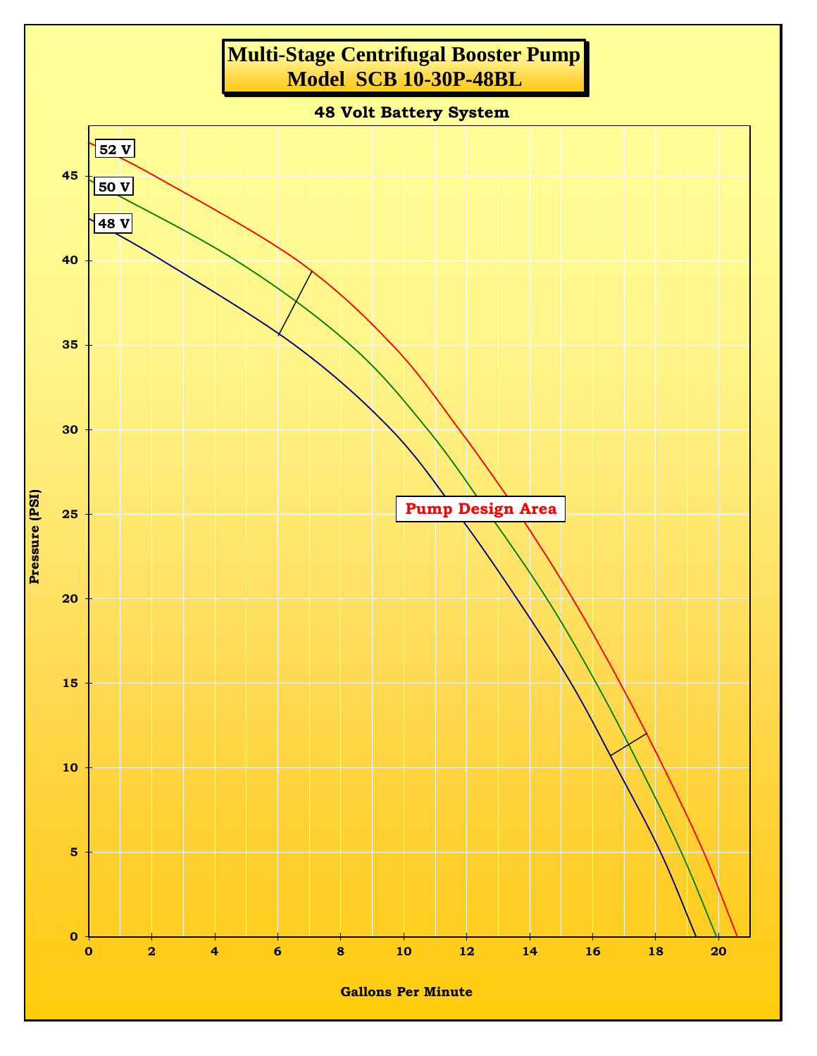